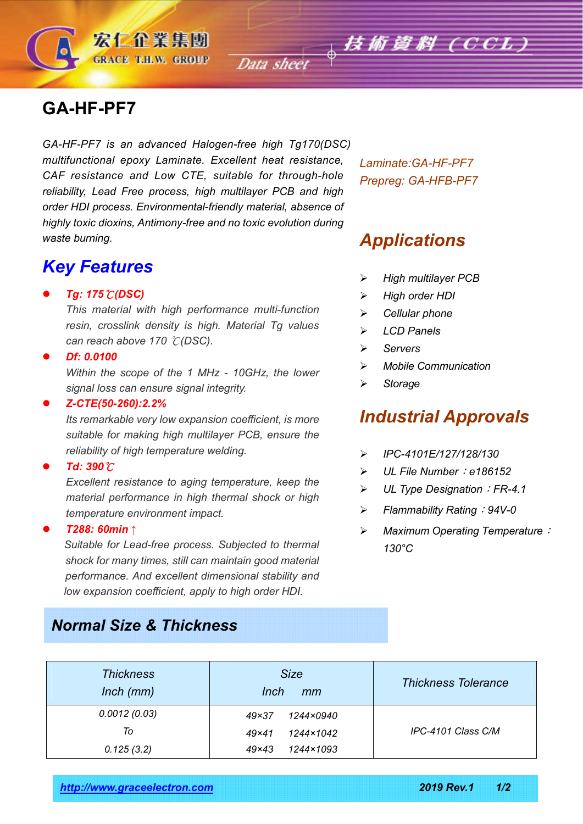# **GA-HF-PF7**

宏仁企業集團 **GRACE T.H.W. GROUP** 

*GA-HF-PF7 is an advanced Halogen-free high Tg170(DSC) multifunctional epoxy Laminate. Excellent heat resistance, CAF resistance and Low CTE, suitable for through-hole reliability, Lead Free process, high multilayer PCB and high order HDI process. Environmental-friendly material, absence of highly toxic dioxins, Antimony-free and no toxic evolution during waste burning.*

### *Key Features*

#### *Tg: 175*℃*(DSC)*

*This material with high performance multi-function resin, crosslink density is high. Material Tg values can reach above 170* ℃*(DSC).*

#### *Df: 0.0100*

*Within the scope of the 1 MHz - 10GHz, the lower signal loss can ensure signal integrity.*

#### *Z-CTE(50-260):2.2%*

*Its remarkable very low expansion coefficient, is more suitable for making high multilayer PCB, ensure the reliability of high temperature welding.*

#### *Td: 390*℃

*Excellent resistance to aging temperature, keep the material performance in high thermal shock or high temperature environment impact.*

#### *T288: 60min* ↑

 *Suitable for Lead-free process. Subjected to thermal shock for many times, still can maintain good material performance. And excellent dimensional stability and low expansion coefficient, apply to high order HDI.*

### *Normal Size & Thickness*

*Laminate:GA-HF-PF7 Prepreg: GA-HFB-PF7*

## *Applications*

- *High multilayer PCB*
- *High order HDI*
- *Cellular phone*
- *LCD Panels*
- *Servers*
- *Mobile Communication*
- *Storage*

## *Industrial Approvals*

- *IPC-4101E/127/128/130*
- *UL File Number*:*e186152*
- *UL Type Designation*:*FR-4.1*
- *Flammability Rating*:*94V-0*
- *Maximum Operating Temperature*: *130°C*

| <b>Thickness</b><br>$lnch$ ( $mm$ ) | <b>Size</b><br>Inch<br>mm | <b>Thickness Tolerance</b> |  |
|-------------------------------------|---------------------------|----------------------------|--|
| 0.0012(0.03)                        | $49\times37$<br>1244×0940 |                            |  |
| To                                  | $49\times41$<br>1244×1042 | IPC-4101 Class C/M         |  |
| 0.125(3.2)                          | $49\times43$<br>1244×1093 |                            |  |